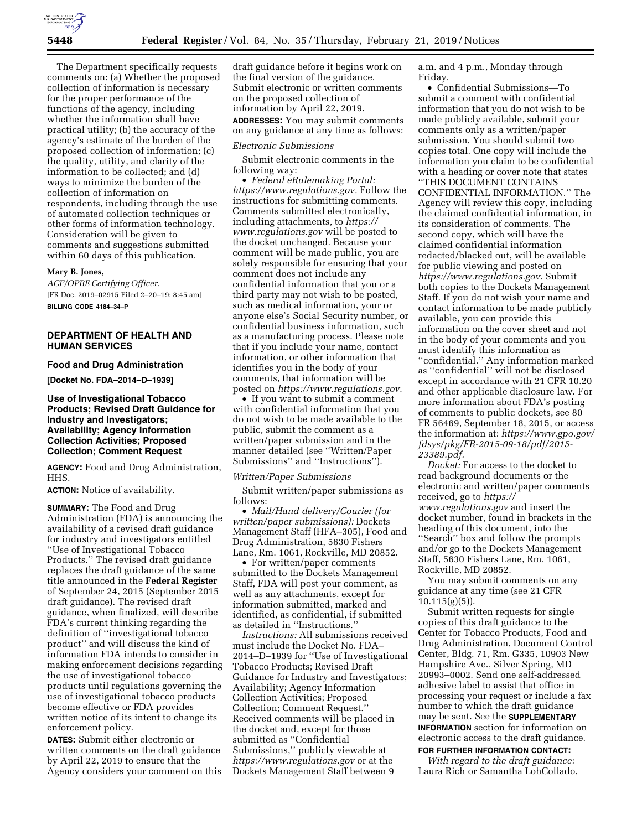

The Department specifically requests comments on: (a) Whether the proposed collection of information is necessary for the proper performance of the functions of the agency, including whether the information shall have practical utility; (b) the accuracy of the agency's estimate of the burden of the proposed collection of information; (c) the quality, utility, and clarity of the information to be collected; and (d) ways to minimize the burden of the collection of information on respondents, including through the use of automated collection techniques or other forms of information technology. Consideration will be given to comments and suggestions submitted within 60 days of this publication.

#### **Mary B. Jones,**

*ACF/OPRE Certifying Officer.*  [FR Doc. 2019–02915 Filed 2–20–19; 8:45 am] **BILLING CODE 4184–34–P** 

# **DEPARTMENT OF HEALTH AND HUMAN SERVICES**

### **Food and Drug Administration**

**[Docket No. FDA–2014–D–1939]** 

# **Use of Investigational Tobacco Products; Revised Draft Guidance for Industry and Investigators; Availability; Agency Information Collection Activities; Proposed Collection; Comment Request**

**AGENCY:** Food and Drug Administration, HHS.

### **ACTION:** Notice of availability.

**SUMMARY:** The Food and Drug Administration (FDA) is announcing the availability of a revised draft guidance for industry and investigators entitled ''Use of Investigational Tobacco Products.'' The revised draft guidance replaces the draft guidance of the same title announced in the **Federal Register**  of September 24, 2015 (September 2015 draft guidance). The revised draft guidance, when finalized, will describe FDA's current thinking regarding the definition of ''investigational tobacco product'' and will discuss the kind of information FDA intends to consider in making enforcement decisions regarding the use of investigational tobacco products until regulations governing the use of investigational tobacco products become effective or FDA provides written notice of its intent to change its enforcement policy.

**DATES:** Submit either electronic or written comments on the draft guidance by April 22, 2019 to ensure that the Agency considers your comment on this draft guidance before it begins work on the final version of the guidance. Submit electronic or written comments on the proposed collection of information by April 22, 2019. **ADDRESSES:** You may submit comments on any guidance at any time as follows:

### *Electronic Submissions*

Submit electronic comments in the following way:

• *Federal eRulemaking Portal: [https://www.regulations.gov.](https://www.regulations.gov)* Follow the instructions for submitting comments. Comments submitted electronically, including attachments, to *[https://](https://www.regulations.gov) [www.regulations.gov](https://www.regulations.gov)* will be posted to the docket unchanged. Because your comment will be made public, you are solely responsible for ensuring that your comment does not include any confidential information that you or a third party may not wish to be posted, such as medical information, your or anyone else's Social Security number, or confidential business information, such as a manufacturing process. Please note that if you include your name, contact information, or other information that identifies you in the body of your comments, that information will be posted on *[https://www.regulations.gov.](https://www.regulations.gov)* 

• If you want to submit a comment with confidential information that you do not wish to be made available to the public, submit the comment as a written/paper submission and in the manner detailed (see ''Written/Paper Submissions'' and ''Instructions'').

### *Written/Paper Submissions*

Submit written/paper submissions as follows:

• *Mail/Hand delivery/Courier (for written/paper submissions):* Dockets Management Staff (HFA–305), Food and Drug Administration, 5630 Fishers Lane, Rm. 1061, Rockville, MD 20852.

• For written/paper comments submitted to the Dockets Management Staff, FDA will post your comment, as well as any attachments, except for information submitted, marked and identified, as confidential, if submitted as detailed in ''Instructions.''

*Instructions:* All submissions received must include the Docket No. FDA– 2014–D–1939 for ''Use of Investigational Tobacco Products; Revised Draft Guidance for Industry and Investigators; Availability; Agency Information Collection Activities; Proposed Collection; Comment Request.'' Received comments will be placed in the docket and, except for those submitted as ''Confidential Submissions,'' publicly viewable at *<https://www.regulations.gov>* or at the Dockets Management Staff between 9

a.m. and 4 p.m., Monday through Friday.

• Confidential Submissions—To submit a comment with confidential information that you do not wish to be made publicly available, submit your comments only as a written/paper submission. You should submit two copies total. One copy will include the information you claim to be confidential with a heading or cover note that states ''THIS DOCUMENT CONTAINS CONFIDENTIAL INFORMATION.'' The Agency will review this copy, including the claimed confidential information, in its consideration of comments. The second copy, which will have the claimed confidential information redacted/blacked out, will be available for public viewing and posted on *[https://www.regulations.gov.](https://www.regulations.gov)* Submit both copies to the Dockets Management Staff. If you do not wish your name and contact information to be made publicly available, you can provide this information on the cover sheet and not in the body of your comments and you must identify this information as ''confidential.'' Any information marked as ''confidential'' will not be disclosed except in accordance with 21 CFR 10.20 and other applicable disclosure law. For more information about FDA's posting of comments to public dockets, see 80 FR 56469, September 18, 2015, or access the information at: *[https://www.gpo.gov/](https://www.gpo.gov/fdsys/pkg/FR-2015-09-18/pdf/2015-23389.pdf) [fdsys/pkg/FR-2015-09-18/pdf/2015-](https://www.gpo.gov/fdsys/pkg/FR-2015-09-18/pdf/2015-23389.pdf)  [23389.pdf.](https://www.gpo.gov/fdsys/pkg/FR-2015-09-18/pdf/2015-23389.pdf)* 

*Docket:* For access to the docket to read background documents or the electronic and written/paper comments received, go to *[https://](https://www.regulations.gov) [www.regulations.gov](https://www.regulations.gov)* and insert the docket number, found in brackets in the heading of this document, into the ''Search'' box and follow the prompts and/or go to the Dockets Management Staff, 5630 Fishers Lane, Rm. 1061, Rockville, MD 20852.

You may submit comments on any guidance at any time (see 21 CFR  $10.115(g)(5)$ ).

Submit written requests for single copies of this draft guidance to the Center for Tobacco Products, Food and Drug Administration, Document Control Center, Bldg. 71, Rm. G335, 10903 New Hampshire Ave., Silver Spring, MD 20993–0002. Send one self-addressed adhesive label to assist that office in processing your request or include a fax number to which the draft guidance may be sent. See the **SUPPLEMENTARY INFORMATION** section for information on electronic access to the draft guidance.

# **FOR FURTHER INFORMATION CONTACT:**

*With regard to the draft guidance:*  Laura Rich or Samantha LohCollado,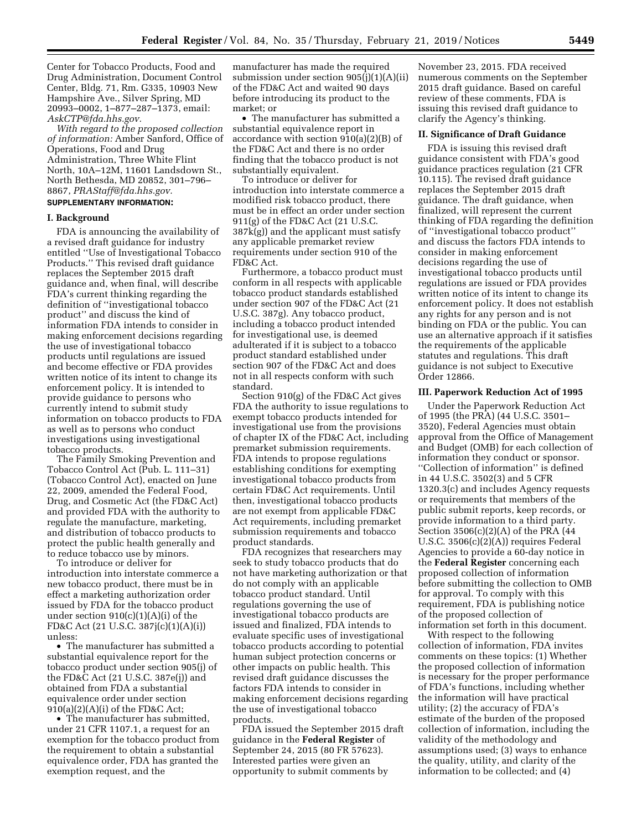Center for Tobacco Products, Food and Drug Administration, Document Control Center, Bldg. 71, Rm. G335, 10903 New Hampshire Ave., Silver Spring, MD 20993–0002, 1–877–287–1373, email: *[AskCTP@fda.hhs.gov.](mailto:AskCTP@fda.hhs.gov)* 

*With regard to the proposed collection of information:* Amber Sanford, Office of Operations, Food and Drug Administration, Three White Flint North, 10A–12M, 11601 Landsdown St., North Bethesda, MD 20852, 301–796– 8867, *[PRAStaff@fda.hhs.gov.](mailto:PRAStaff@fda.hhs.gov)* 

# **SUPPLEMENTARY INFORMATION:**

### **I. Background**

FDA is announcing the availability of a revised draft guidance for industry entitled ''Use of Investigational Tobacco Products.'' This revised draft guidance replaces the September 2015 draft guidance and, when final, will describe FDA's current thinking regarding the definition of ''investigational tobacco product'' and discuss the kind of information FDA intends to consider in making enforcement decisions regarding the use of investigational tobacco products until regulations are issued and become effective or FDA provides written notice of its intent to change its enforcement policy. It is intended to provide guidance to persons who currently intend to submit study information on tobacco products to FDA as well as to persons who conduct investigations using investigational tobacco products.

The Family Smoking Prevention and Tobacco Control Act (Pub. L. 111–31) (Tobacco Control Act), enacted on June 22, 2009, amended the Federal Food, Drug, and Cosmetic Act (the FD&C Act) and provided FDA with the authority to regulate the manufacture, marketing, and distribution of tobacco products to protect the public health generally and to reduce tobacco use by minors.

To introduce or deliver for introduction into interstate commerce a new tobacco product, there must be in effect a marketing authorization order issued by FDA for the tobacco product under section  $910(c)(1)(A)(i)$  of the FD&C Act (21 U.S.C. 387j(c)(1)(A)(i)) unless:

• The manufacturer has submitted a substantial equivalence report for the tobacco product under section 905(j) of the FD&C Act (21 U.S.C. 387e(j)) and obtained from FDA a substantial equivalence order under section  $910(a)(2)(A)(i)$  of the FD&C Act;

• The manufacturer has submitted, under 21 CFR 1107.1, a request for an exemption for the tobacco product from the requirement to obtain a substantial equivalence order, FDA has granted the exemption request, and the

manufacturer has made the required submission under section 905(j)(1)(A)(ii) of the FD&C Act and waited 90 days before introducing its product to the market; or

• The manufacturer has submitted a substantial equivalence report in accordance with section 910(a)(2)(B) of the FD&C Act and there is no order finding that the tobacco product is not substantially equivalent.

To introduce or deliver for introduction into interstate commerce a modified risk tobacco product, there must be in effect an order under section 911(g) of the FD&C Act (21 U.S.C. 387k(g)) and the applicant must satisfy any applicable premarket review requirements under section 910 of the FD&C Act.

Furthermore, a tobacco product must conform in all respects with applicable tobacco product standards established under section 907 of the FD&C Act (21 U.S.C. 387g). Any tobacco product, including a tobacco product intended for investigational use, is deemed adulterated if it is subject to a tobacco product standard established under section 907 of the FD&C Act and does not in all respects conform with such standard.

Section 910(g) of the FD&C Act gives FDA the authority to issue regulations to exempt tobacco products intended for investigational use from the provisions of chapter IX of the FD&C Act, including premarket submission requirements. FDA intends to propose regulations establishing conditions for exempting investigational tobacco products from certain FD&C Act requirements. Until then, investigational tobacco products are not exempt from applicable FD&C Act requirements, including premarket submission requirements and tobacco product standards.

FDA recognizes that researchers may seek to study tobacco products that do not have marketing authorization or that do not comply with an applicable tobacco product standard. Until regulations governing the use of investigational tobacco products are issued and finalized, FDA intends to evaluate specific uses of investigational tobacco products according to potential human subject protection concerns or other impacts on public health. This revised draft guidance discusses the factors FDA intends to consider in making enforcement decisions regarding the use of investigational tobacco products.

FDA issued the September 2015 draft guidance in the **Federal Register** of September 24, 2015 (80 FR 57623). Interested parties were given an opportunity to submit comments by

November 23, 2015. FDA received numerous comments on the September 2015 draft guidance. Based on careful review of these comments, FDA is issuing this revised draft guidance to clarify the Agency's thinking.

#### **II. Significance of Draft Guidance**

FDA is issuing this revised draft guidance consistent with FDA's good guidance practices regulation (21 CFR 10.115). The revised draft guidance replaces the September 2015 draft guidance. The draft guidance, when finalized, will represent the current thinking of FDA regarding the definition of ''investigational tobacco product'' and discuss the factors FDA intends to consider in making enforcement decisions regarding the use of investigational tobacco products until regulations are issued or FDA provides written notice of its intent to change its enforcement policy. It does not establish any rights for any person and is not binding on FDA or the public. You can use an alternative approach if it satisfies the requirements of the applicable statutes and regulations. This draft guidance is not subject to Executive Order 12866.

### **III. Paperwork Reduction Act of 1995**

Under the Paperwork Reduction Act of 1995 (the PRA) (44 U.S.C. 3501– 3520), Federal Agencies must obtain approval from the Office of Management and Budget (OMB) for each collection of information they conduct or sponsor. ''Collection of information'' is defined in 44 U.S.C. 3502(3) and 5 CFR 1320.3(c) and includes Agency requests or requirements that members of the public submit reports, keep records, or provide information to a third party. Section 3506(c)(2)(A) of the PRA (44 U.S.C. 3506(c)(2)(A)) requires Federal Agencies to provide a 60-day notice in the **Federal Register** concerning each proposed collection of information before submitting the collection to OMB for approval. To comply with this requirement, FDA is publishing notice of the proposed collection of information set forth in this document.

With respect to the following collection of information, FDA invites comments on these topics: (1) Whether the proposed collection of information is necessary for the proper performance of FDA's functions, including whether the information will have practical utility; (2) the accuracy of FDA's estimate of the burden of the proposed collection of information, including the validity of the methodology and assumptions used; (3) ways to enhance the quality, utility, and clarity of the information to be collected; and (4)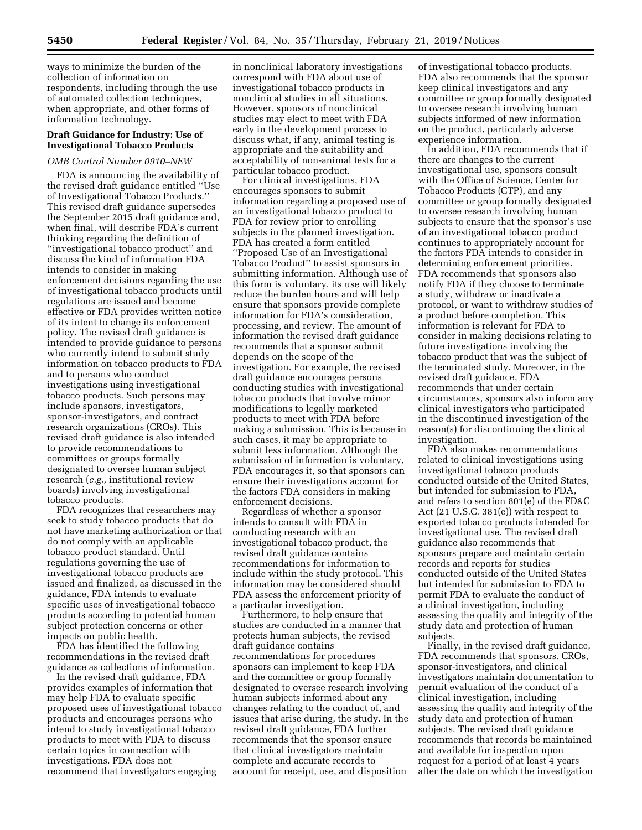ways to minimize the burden of the collection of information on respondents, including through the use of automated collection techniques, when appropriate, and other forms of information technology.

# **Draft Guidance for Industry: Use of Investigational Tobacco Products**

# *OMB Control Number 0910–NEW*

FDA is announcing the availability of the revised draft guidance entitled ''Use of Investigational Tobacco Products.'' This revised draft guidance supersedes the September 2015 draft guidance and, when final, will describe FDA's current thinking regarding the definition of ''investigational tobacco product'' and discuss the kind of information FDA intends to consider in making enforcement decisions regarding the use of investigational tobacco products until regulations are issued and become effective or FDA provides written notice of its intent to change its enforcement policy. The revised draft guidance is intended to provide guidance to persons who currently intend to submit study information on tobacco products to FDA and to persons who conduct investigations using investigational tobacco products. Such persons may include sponsors, investigators, sponsor-investigators, and contract research organizations (CROs). This revised draft guidance is also intended to provide recommendations to committees or groups formally designated to oversee human subject research (*e.g.,* institutional review boards) involving investigational tobacco products.

FDA recognizes that researchers may seek to study tobacco products that do not have marketing authorization or that do not comply with an applicable tobacco product standard. Until regulations governing the use of investigational tobacco products are issued and finalized, as discussed in the guidance, FDA intends to evaluate specific uses of investigational tobacco products according to potential human subject protection concerns or other impacts on public health.

FDA has identified the following recommendations in the revised draft guidance as collections of information.

In the revised draft guidance, FDA provides examples of information that may help FDA to evaluate specific proposed uses of investigational tobacco products and encourages persons who intend to study investigational tobacco products to meet with FDA to discuss certain topics in connection with investigations. FDA does not recommend that investigators engaging

in nonclinical laboratory investigations correspond with FDA about use of investigational tobacco products in nonclinical studies in all situations. However, sponsors of nonclinical studies may elect to meet with FDA early in the development process to discuss what, if any, animal testing is appropriate and the suitability and acceptability of non-animal tests for a particular tobacco product.

For clinical investigations, FDA encourages sponsors to submit information regarding a proposed use of an investigational tobacco product to FDA for review prior to enrolling subjects in the planned investigation. FDA has created a form entitled ''Proposed Use of an Investigational Tobacco Product'' to assist sponsors in submitting information. Although use of this form is voluntary, its use will likely reduce the burden hours and will help ensure that sponsors provide complete information for FDA's consideration, processing, and review. The amount of information the revised draft guidance recommends that a sponsor submit depends on the scope of the investigation. For example, the revised draft guidance encourages persons conducting studies with investigational tobacco products that involve minor modifications to legally marketed products to meet with FDA before making a submission. This is because in such cases, it may be appropriate to submit less information. Although the submission of information is voluntary, FDA encourages it, so that sponsors can ensure their investigations account for the factors FDA considers in making enforcement decisions.

Regardless of whether a sponsor intends to consult with FDA in conducting research with an investigational tobacco product, the revised draft guidance contains recommendations for information to include within the study protocol. This information may be considered should FDA assess the enforcement priority of a particular investigation.

Furthermore, to help ensure that studies are conducted in a manner that protects human subjects, the revised draft guidance contains recommendations for procedures sponsors can implement to keep FDA and the committee or group formally designated to oversee research involving human subjects informed about any changes relating to the conduct of, and issues that arise during, the study. In the revised draft guidance, FDA further recommends that the sponsor ensure that clinical investigators maintain complete and accurate records to account for receipt, use, and disposition

of investigational tobacco products. FDA also recommends that the sponsor keep clinical investigators and any committee or group formally designated to oversee research involving human subjects informed of new information on the product, particularly adverse experience information.

In addition, FDA recommends that if there are changes to the current investigational use, sponsors consult with the Office of Science, Center for Tobacco Products (CTP), and any committee or group formally designated to oversee research involving human subjects to ensure that the sponsor's use of an investigational tobacco product continues to appropriately account for the factors FDA intends to consider in determining enforcement priorities. FDA recommends that sponsors also notify FDA if they choose to terminate a study, withdraw or inactivate a protocol, or want to withdraw studies of a product before completion. This information is relevant for FDA to consider in making decisions relating to future investigations involving the tobacco product that was the subject of the terminated study. Moreover, in the revised draft guidance, FDA recommends that under certain circumstances, sponsors also inform any clinical investigators who participated in the discontinued investigation of the reason(s) for discontinuing the clinical investigation.

FDA also makes recommendations related to clinical investigations using investigational tobacco products conducted outside of the United States, but intended for submission to FDA, and refers to section 801(e) of the FD&C Act (21 U.S.C. 381(e)) with respect to exported tobacco products intended for investigational use. The revised draft guidance also recommends that sponsors prepare and maintain certain records and reports for studies conducted outside of the United States but intended for submission to FDA to permit FDA to evaluate the conduct of a clinical investigation, including assessing the quality and integrity of the study data and protection of human subjects.

Finally, in the revised draft guidance, FDA recommends that sponsors, CROs, sponsor-investigators, and clinical investigators maintain documentation to permit evaluation of the conduct of a clinical investigation, including assessing the quality and integrity of the study data and protection of human subjects. The revised draft guidance recommends that records be maintained and available for inspection upon request for a period of at least 4 years after the date on which the investigation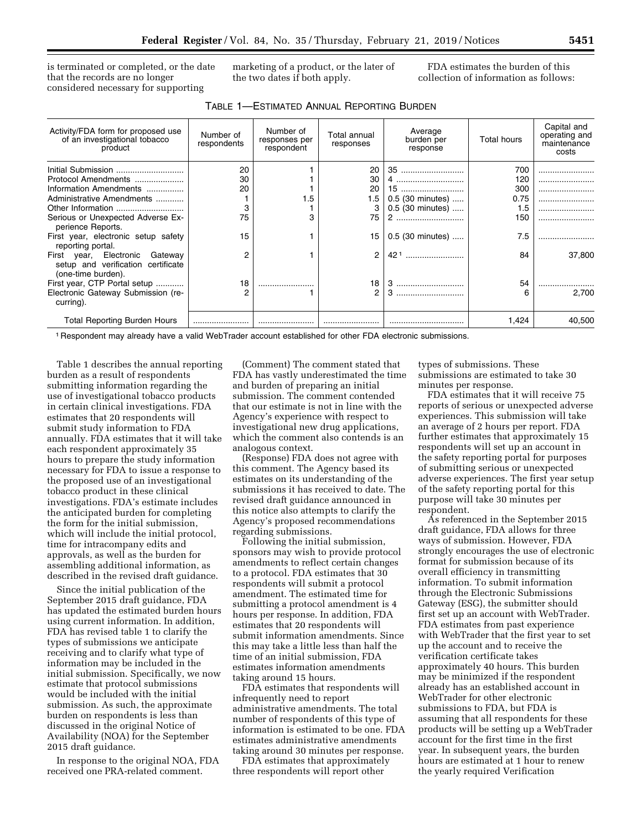is terminated or completed, or the date that the records are no longer considered necessary for supporting

marketing of a product, or the later of the two dates if both apply.

FDA estimates the burden of this collection of information as follows:

| TABLE 1—ESTIMATED ANNUAL REPORTING BURDEN |  |
|-------------------------------------------|--|
|-------------------------------------------|--|

| Activity/FDA form for proposed use<br>of an investigational tobacco<br>product                | Number of<br>respondents | Number of<br>responses per<br>respondent | Total annual<br>responses | Average<br>burden per<br>response | <b>Total hours</b> | Capital and<br>operating and<br>maintenance<br>costs |
|-----------------------------------------------------------------------------------------------|--------------------------|------------------------------------------|---------------------------|-----------------------------------|--------------------|------------------------------------------------------|
| Initial Submission                                                                            | 20                       |                                          | 20                        | 35                                | 700                |                                                      |
| Protocol Amendments                                                                           | 30                       |                                          | 30                        | 4                                 | 120                |                                                      |
| Information Amendments                                                                        | 20                       |                                          | 20                        | 15                                | 300                |                                                      |
| Administrative Amendments                                                                     |                          | 1.5                                      | 1.5                       | 0.5 (30 minutes)                  | 0.75               |                                                      |
|                                                                                               | 3                        |                                          | 3                         | $0.5$ (30 minutes)                | 1.5                |                                                      |
| Serious or Unexpected Adverse Ex-<br>perience Reports.                                        | 75                       | 3                                        | 75                        | 2                                 | 150                |                                                      |
| First year, electronic setup safety<br>reporting portal.                                      | 15                       |                                          | 15                        | 0.5 (30 minutes)                  | 7.5                |                                                      |
| First year, Electronic<br>Gateway<br>setup and verification certificate<br>(one-time burden). | $\overline{2}$           |                                          | 2                         | $421$                             | 84                 | 37,800                                               |
| First year, CTP Portal setup                                                                  | 18                       |                                          | 18                        |                                   | 54                 |                                                      |
| Electronic Gateway Submission (re-<br>curring).                                               | 2                        |                                          | $\overline{2}$            | 3                                 | հ                  | 2.700                                                |
| <b>Total Reporting Burden Hours</b>                                                           |                          |                                          |                           |                                   | 1,424              | 40.500                                               |

1 Respondent may already have a valid WebTrader account established for other FDA electronic submissions.

Table 1 describes the annual reporting burden as a result of respondents submitting information regarding the use of investigational tobacco products in certain clinical investigations. FDA estimates that 20 respondents will submit study information to FDA annually. FDA estimates that it will take each respondent approximately 35 hours to prepare the study information necessary for FDA to issue a response to the proposed use of an investigational tobacco product in these clinical investigations. FDA's estimate includes the anticipated burden for completing the form for the initial submission, which will include the initial protocol, time for intracompany edits and approvals, as well as the burden for assembling additional information, as described in the revised draft guidance.

Since the initial publication of the September 2015 draft guidance, FDA has updated the estimated burden hours using current information. In addition, FDA has revised table 1 to clarify the types of submissions we anticipate receiving and to clarify what type of information may be included in the initial submission. Specifically, we now estimate that protocol submissions would be included with the initial submission. As such, the approximate burden on respondents is less than discussed in the original Notice of Availability (NOA) for the September 2015 draft guidance.

In response to the original NOA, FDA received one PRA-related comment.

(Comment) The comment stated that FDA has vastly underestimated the time and burden of preparing an initial submission. The comment contended that our estimate is not in line with the Agency's experience with respect to investigational new drug applications, which the comment also contends is an analogous context.

(Response) FDA does not agree with this comment. The Agency based its estimates on its understanding of the submissions it has received to date. The revised draft guidance announced in this notice also attempts to clarify the Agency's proposed recommendations regarding submissions.

Following the initial submission, sponsors may wish to provide protocol amendments to reflect certain changes to a protocol. FDA estimates that 30 respondents will submit a protocol amendment. The estimated time for submitting a protocol amendment is 4 hours per response. In addition, FDA estimates that 20 respondents will submit information amendments. Since this may take a little less than half the time of an initial submission, FDA estimates information amendments taking around 15 hours.

FDA estimates that respondents will infrequently need to report administrative amendments. The total number of respondents of this type of information is estimated to be one. FDA estimates administrative amendments taking around 30 minutes per response.

FDA estimates that approximately three respondents will report other

types of submissions. These submissions are estimated to take 30 minutes per response.

FDA estimates that it will receive 75 reports of serious or unexpected adverse experiences. This submission will take an average of 2 hours per report. FDA further estimates that approximately 15 respondents will set up an account in the safety reporting portal for purposes of submitting serious or unexpected adverse experiences. The first year setup of the safety reporting portal for this purpose will take 30 minutes per respondent.

As referenced in the September 2015 draft guidance, FDA allows for three ways of submission. However, FDA strongly encourages the use of electronic format for submission because of its overall efficiency in transmitting information. To submit information through the Electronic Submissions Gateway (ESG), the submitter should first set up an account with WebTrader. FDA estimates from past experience with WebTrader that the first year to set up the account and to receive the verification certificate takes approximately 40 hours. This burden may be minimized if the respondent already has an established account in WebTrader for other electronic submissions to FDA, but FDA is assuming that all respondents for these products will be setting up a WebTrader account for the first time in the first year. In subsequent years, the burden hours are estimated at 1 hour to renew the yearly required Verification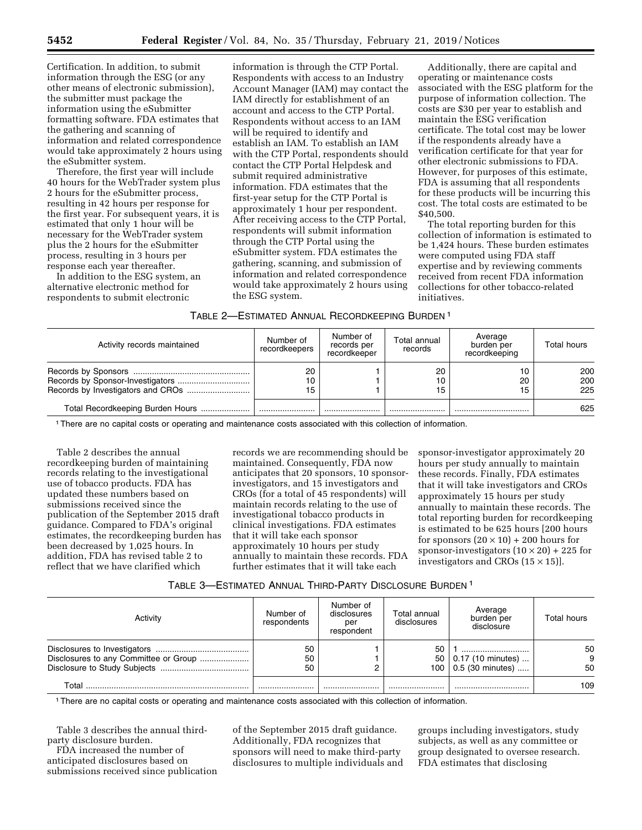Certification. In addition, to submit information through the ESG (or any other means of electronic submission), the submitter must package the information using the eSubmitter formatting software. FDA estimates that the gathering and scanning of information and related correspondence would take approximately 2 hours using the eSubmitter system.

Therefore, the first year will include 40 hours for the WebTrader system plus 2 hours for the eSubmitter process, resulting in 42 hours per response for the first year. For subsequent years, it is estimated that only 1 hour will be necessary for the WebTrader system plus the 2 hours for the eSubmitter process, resulting in 3 hours per response each year thereafter.

In addition to the ESG system, an alternative electronic method for respondents to submit electronic

information is through the CTP Portal. Respondents with access to an Industry Account Manager (IAM) may contact the IAM directly for establishment of an account and access to the CTP Portal. Respondents without access to an IAM will be required to identify and establish an IAM. To establish an IAM with the CTP Portal, respondents should contact the CTP Portal Helpdesk and submit required administrative information. FDA estimates that the first-year setup for the CTP Portal is approximately 1 hour per respondent. After receiving access to the CTP Portal, respondents will submit information through the CTP Portal using the eSubmitter system. FDA estimates the gathering, scanning, and submission of information and related correspondence would take approximately 2 hours using the ESG system.

Additionally, there are capital and operating or maintenance costs associated with the ESG platform for the purpose of information collection. The costs are \$30 per year to establish and maintain the ESG verification certificate. The total cost may be lower if the respondents already have a verification certificate for that year for other electronic submissions to FDA. However, for purposes of this estimate, FDA is assuming that all respondents for these products will be incurring this cost. The total costs are estimated to be \$40,500.

The total reporting burden for this collection of information is estimated to be 1,424 hours. These burden estimates were computed using FDA staff expertise and by reviewing comments received from recent FDA information collections for other tobacco-related initiatives.

| TABLE 2—ESTIMATED ANNUAL RECORDKEEPING BURDEN 1 |  |  |
|-------------------------------------------------|--|--|
|-------------------------------------------------|--|--|

| Activity records maintained      | Number of<br>recordkeepers | Number of<br>records per<br>recordkeeper | Total annual<br>records | Average<br>burden per<br>recordkeeping | Total hours       |
|----------------------------------|----------------------------|------------------------------------------|-------------------------|----------------------------------------|-------------------|
| Records by Sponsor-Investigators | 20<br>10<br>15             |                                          | 20<br>10<br>15          | 20<br>15                               | 200<br>200<br>225 |
| Total Recordkeeping Burden Hours |                            |                                          |                         |                                        | 625               |

1There are no capital costs or operating and maintenance costs associated with this collection of information.

Table 2 describes the annual recordkeeping burden of maintaining records relating to the investigational use of tobacco products. FDA has updated these numbers based on submissions received since the publication of the September 2015 draft guidance. Compared to FDA's original estimates, the recordkeeping burden has been decreased by 1,025 hours. In addition, FDA has revised table 2 to reflect that we have clarified which

records we are recommending should be maintained. Consequently, FDA now anticipates that 20 sponsors, 10 sponsorinvestigators, and 15 investigators and CROs (for a total of 45 respondents) will maintain records relating to the use of investigational tobacco products in clinical investigations. FDA estimates that it will take each sponsor approximately 10 hours per study annually to maintain these records. FDA further estimates that it will take each

sponsor-investigator approximately 20 hours per study annually to maintain these records. Finally, FDA estimates that it will take investigators and CROs approximately 15 hours per study annually to maintain these records. The total reporting burden for recordkeeping is estimated to be 625 hours [200 hours for sponsors  $(20 \times 10) + 200$  hours for sponsor-investigators  $(10 \times 20) + 225$  for investigators and CROs  $(15 \times 15)$ ].

|  |  | TABLE 3—ESTIMATED ANNUAL THIRD-PARTY DISCLOSURE BURDEN 1 |
|--|--|----------------------------------------------------------|
|--|--|----------------------------------------------------------|

| Activity | Number of<br>respondents | Number of<br>disclosures<br>per<br>respondent | Total annual<br>disclosures | Average<br>burden per<br>disclosure | Total hours |
|----------|--------------------------|-----------------------------------------------|-----------------------------|-------------------------------------|-------------|
|          | 50                       |                                               | 50                          |                                     | 50          |
|          | 50                       |                                               |                             | $50$   0.17 (10 minutes)            | 9           |
|          | 50                       |                                               |                             | 100   $0.5$ (30 minutes)            | 50          |
| Total    |                          |                                               |                             |                                     | 109         |

1There are no capital costs or operating and maintenance costs associated with this collection of information.

Table 3 describes the annual thirdparty disclosure burden.

FDA increased the number of anticipated disclosures based on submissions received since publication of the September 2015 draft guidance. Additionally, FDA recognizes that sponsors will need to make third-party disclosures to multiple individuals and groups including investigators, study subjects, as well as any committee or group designated to oversee research. FDA estimates that disclosing